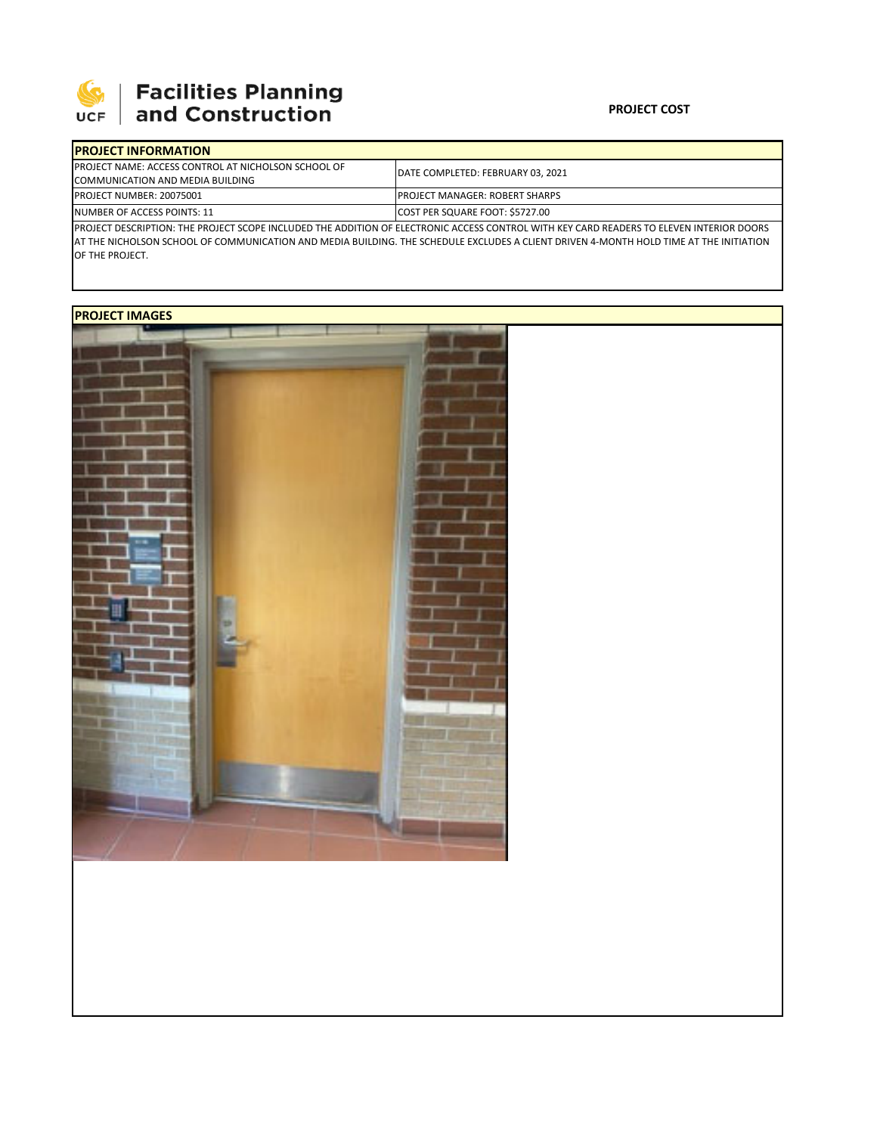

## | Facilities Planning<br>| and Construction

## **PROJECT COST**

| <b>IPROJECT INFORMATION</b>                                                                                                               |                                        |  |  |  |
|-------------------------------------------------------------------------------------------------------------------------------------------|----------------------------------------|--|--|--|
| <b>IPROJECT NAME: ACCESS CONTROL AT NICHOLSON SCHOOL OF</b>                                                                               | DATE COMPLETED: FEBRUARY 03, 2021      |  |  |  |
| COMMUNICATION AND MEDIA BUILDING                                                                                                          |                                        |  |  |  |
| PROJECT NUMBER: 20075001                                                                                                                  | <b>IPROJECT MANAGER: ROBERT SHARPS</b> |  |  |  |
| NUMBER OF ACCESS POINTS: 11                                                                                                               | COST PER SQUARE FOOT: \$5727.00        |  |  |  |
| IPROJECT DESCRIPTION: THE PROJECT SCOPE INCLUDED THE ADDITION OF ELECTRONIC ACCESS CONTROL WITH KEY CARD READERS TO ELEVEN INTERIOR DOORS |                                        |  |  |  |

PROJECT DESCRIPTION: THE PROJECT SCOPE INCLUDED THE ADDITION OF ELECTRONIC ACCESS CONTROL WITH KEY CARD READERS TO ELEVEN INTERIOR DOORS AT THE NICHOLSON SCHOOL OF COMMUNICATION AND MEDIA BUILDING. THE SCHEDULE EXCLUDES A CLIENT DRIVEN 4‐MONTH HOLD TIME AT THE INITIATION OF THE PROJECT.

## **PROJECT IMAGES**